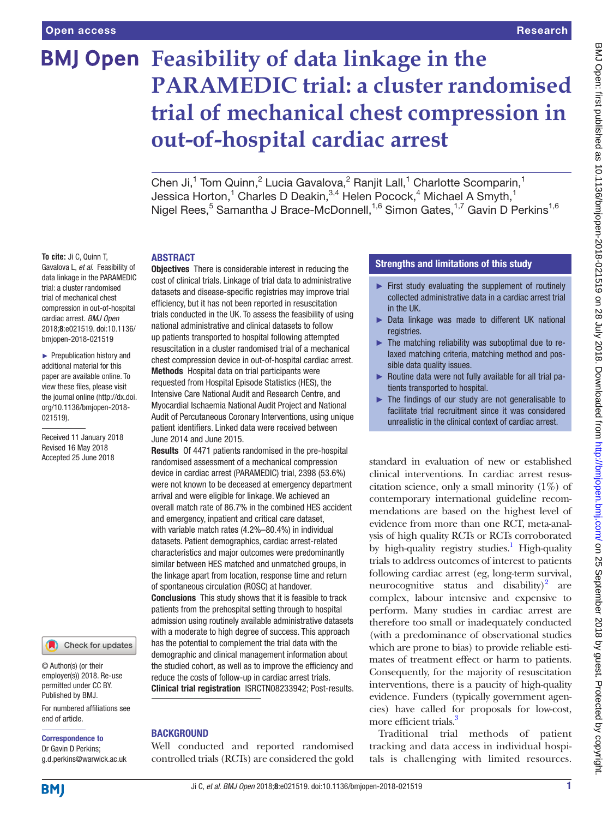# **BMJ Open** Feasibility of data linkage in the **PARAMEDIC trial: a cluster randomised trial of mechanical chest compression in out-of-hospital cardiac arrest**

Chen Ji,<sup>1</sup> Tom Quinn,<sup>2</sup> Lucia Gavalova,<sup>2</sup> Ranjit Lall,<sup>1</sup> Charlotte Scomparin,<sup>1</sup> Jessica Horton, $^1$  Charles D Deakin, $^{3,4}$  Helen Pocock, $^4$  Michael A Smyth, $^1$ Nigel Rees,<sup>5</sup> Samantha J Brace-McDonnell,<sup>1,6</sup> Simon Gates,<sup>1,7</sup> Gavin D Perkins<sup>1,6</sup>

## **ABSTRACT**

**To cite:** Ji C, Quinn T, Gavalova L, *et al*. Feasibility of data linkage in the PARAMEDIC trial: a cluster randomised trial of mechanical chest compression in out-of-hospital cardiac arrest. *BMJ Open* 2018;8:e021519. doi:10.1136/ bmjopen-2018-021519

► Prepublication history and additional material for this paper are available online. To view these files, please visit the journal online [\(http://dx.doi.](http://dx.doi.org/10.1136/bmjopen-2018-021519) [org/10.1136/bmjopen-2018-](http://dx.doi.org/10.1136/bmjopen-2018-021519) [021519\)](http://dx.doi.org/10.1136/bmjopen-2018-021519).

Received 11 January 2018 Revised 16 May 2018 Accepted 25 June 2018



© Author(s) (or their employer(s)) 2018. Re-use permitted under CC BY. Published by BMJ.

For numbered affiliations see end of article.

#### Correspondence to

Dr Gavin D Perkins; g.d.perkins@warwick.ac.uk **Objectives** There is considerable interest in reducing the cost of clinical trials. Linkage of trial data to administrative datasets and disease-specific registries may improve trial efficiency, but it has not been reported in resuscitation trials conducted in the UK. To assess the feasibility of using national administrative and clinical datasets to follow up patients transported to hospital following attempted resuscitation in a cluster randomised trial of a mechanical chest compression device in out-of-hospital cardiac arrest. Methods Hospital data on trial participants were requested from Hospital Episode Statistics (HES), the Intensive Care National Audit and Research Centre, and Myocardial Ischaemia National Audit Project and National Audit of Percutaneous Coronary Interventions, using unique patient identifiers. Linked data were received between June 2014 and June 2015.

Results Of 4471 patients randomised in the pre-hospital randomised assessment of a mechanical compression device in cardiac arrest (PARAMEDIC) trial, 2398 (53.6%) were not known to be deceased at emergency department arrival and were eligible for linkage. We achieved an overall match rate of 86.7% in the combined HES accident and emergency, inpatient and critical care dataset, with variable match rates (4.2%–80.4%) in individual datasets. Patient demographics, cardiac arrest-related characteristics and major outcomes were predominantly similar between HES matched and unmatched groups, in the linkage apart from location, response time and return of spontaneous circulation (ROSC) at handover. Conclusions This study shows that it is feasible to track patients from the prehospital setting through to hospital admission using routinely available administrative datasets with a moderate to high degree of success. This approach has the potential to complement the trial data with the demographic and clinical management information about the studied cohort, as well as to improve the efficiency and reduce the costs of follow-up in cardiac arrest trials. Clinical trial registration [ISRCTN08233942;](ISRCTN08233942) Post-results.

## **BACKGROUND**

Well conducted and reported randomised controlled trials (RCTs) are considered the gold

## Strengths and limitations of this study

- ► First study evaluating the supplement of routinely collected administrative data in a cardiac arrest trial in the UK.
- ► Data linkage was made to different UK national registries.
- ► The matching reliability was suboptimal due to relaxed matching criteria, matching method and possible data quality issues.
- ► Routine data were not fully available for all trial patients transported to hospital.
- ► The findings of our study are not generalisable to facilitate trial recruitment since it was considered unrealistic in the clinical context of cardiac arrest.

standard in evaluation of new or established clinical interventions. In cardiac arrest resuscitation science, only a small minority (1%) of contemporary international guideline recommendations are based on the highest level of evidence from more than one RCT, meta-analysis of high quality RCTs or RCTs corroborated by high-quality registry studies.<sup>[1](#page-6-0)</sup> High-quality trials to address outcomes of interest to patients following cardiac arrest (eg, long-term survival, neurocognitive status and disability) $2$  are complex, labour intensive and expensive to perform. Many studies in cardiac arrest are therefore too small or inadequately conducted (with a predominance of observational studies which are prone to bias) to provide reliable estimates of treatment effect or harm to patients. Consequently, for the majority of resuscitation interventions, there is a paucity of high-quality evidence. Funders (typically government agencies) have called for proposals for low-cost, more efficient trials.<sup>3</sup>

Traditional trial methods of patient tracking and data access in individual hospitals is challenging with limited resources.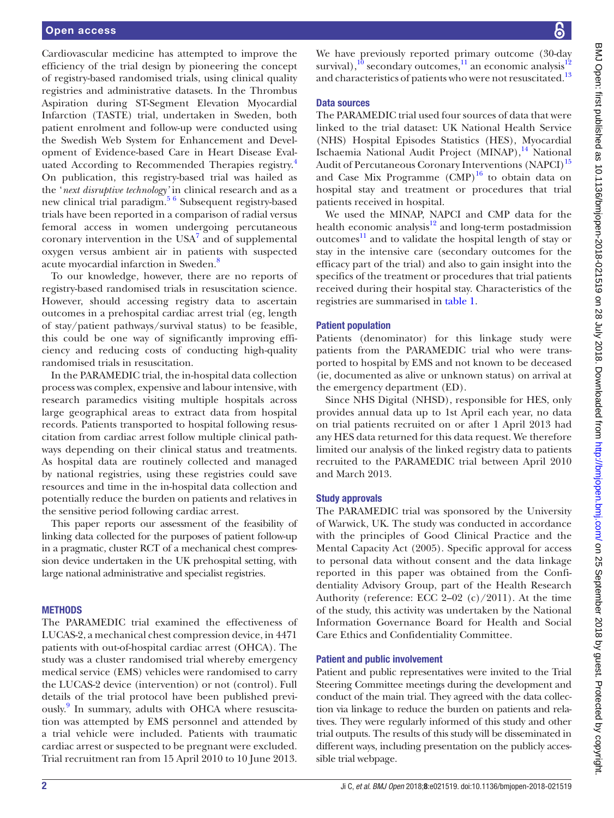Cardiovascular medicine has attempted to improve the efficiency of the trial design by pioneering the concept of registry-based randomised trials, using clinical quality registries and administrative datasets. In the Thrombus Aspiration during ST-Segment Elevation Myocardial Infarction (TASTE) trial, undertaken in Sweden, both patient enrolment and follow-up were conducted using the Swedish Web System for Enhancement and Development of Evidence-based Care in Heart Disease Eval-uated According to Recommended Therapies registry.<sup>[4](#page-6-3)</sup> On publication, this registry-based trial was hailed as the '*next disruptive technology'* in clinical research and as a new clinical trial paradigm.<sup>56</sup> Subsequent registry-based trials have been reported in a comparison of radial versus femoral access in women undergoing percutaneous coronary intervention in the  $USA<sup>7</sup>$  $USA<sup>7</sup>$  $USA<sup>7</sup>$  and of supplemental oxygen versus ambient air in patients with suspected acute myocardial infarction in Sweden.<sup>8</sup>

To our knowledge, however, there are no reports of registry-based randomised trials in resuscitation science. However, should accessing registry data to ascertain outcomes in a prehospital cardiac arrest trial (eg, length of stay/patient pathways/survival status) to be feasible, this could be one way of significantly improving efficiency and reducing costs of conducting high-quality randomised trials in resuscitation.

In the PARAMEDIC trial, the in-hospital data collection process was complex, expensive and labour intensive, with research paramedics visiting multiple hospitals across large geographical areas to extract data from hospital records. Patients transported to hospital following resuscitation from cardiac arrest follow multiple clinical pathways depending on their clinical status and treatments. As hospital data are routinely collected and managed by national registries, using these registries could save resources and time in the in-hospital data collection and potentially reduce the burden on patients and relatives in the sensitive period following cardiac arrest.

This paper reports our assessment of the feasibility of linking data collected for the purposes of patient follow-up in a pragmatic, cluster RCT of a mechanical chest compression device undertaken in the UK prehospital setting, with large national administrative and specialist registries.

#### **METHODS**

The PARAMEDIC trial examined the effectiveness of LUCAS-2, a mechanical chest compression device, in 4471 patients with out-of-hospital cardiac arrest (OHCA). The study was a cluster randomised trial whereby emergency medical service (EMS) vehicles were randomised to carry the LUCAS-2 device (intervention) or not (control). Full details of the trial protocol have been published previously.<sup>9</sup> In summary, adults with OHCA where resuscitation was attempted by EMS personnel and attended by a trial vehicle were included. Patients with traumatic cardiac arrest or suspected to be pregnant were excluded. Trial recruitment ran from 15 April 2010 to 10 June 2013.

We have previously reported primary outcome (30-day survival), $^{10}$  secondary outcomes, $^{11}$  an economic analysis $^{12}$  $^{12}$  $^{12}$ and characteristics of patients who were not resuscitated.<sup>[13](#page-6-11)</sup>

#### Data sources

The PARAMEDIC trial used four sources of data that were linked to the trial dataset: UK National Health Service (NHS) Hospital Episodes Statistics (HES), Myocardial Ischaemia National Audit Project (MINAP),<sup>[14](#page-6-12)</sup> National Audit of Percutaneous Coronary Interventions (NAPCI)<sup>[15](#page-6-13)</sup> and Case Mix Programme  $(CMP)^{16}$  $(CMP)^{16}$  $(CMP)^{16}$  to obtain data on hospital stay and treatment or procedures that trial patients received in hospital.

We used the MINAP, NAPCI and CMP data for the health economic analysis $12$  and long-term postadmission outcomes $^{11}$  and to validate the hospital length of stay or stay in the intensive care (secondary outcomes for the efficacy part of the trial) and also to gain insight into the specifics of the treatment or procedures that trial patients received during their hospital stay. Characteristics of the registries are summarised in [table](#page-2-0) 1.

## Patient population

Patients (denominator) for this linkage study were patients from the PARAMEDIC trial who were transported to hospital by EMS and not known to be deceased (ie, documented as alive or unknown status) on arrival at the emergency department (ED).

Since NHS Digital (NHSD), responsible for HES, only provides annual data up to 1st April each year, no data on trial patients recruited on or after 1 April 2013 had any HES data returned for this data request. We therefore limited our analysis of the linked registry data to patients recruited to the PARAMEDIC trial between April 2010 and March 2013.

#### Study approvals

The PARAMEDIC trial was sponsored by the University of Warwick, UK. The study was conducted in accordance with the principles of Good Clinical Practice and the Mental Capacity Act (2005). Specific approval for access to personal data without consent and the data linkage reported in this paper was obtained from the Confidentiality Advisory Group, part of the Health Research Authority (reference: ECC 2–02 (c)/2011). At the time of the study, this activity was undertaken by the National Information Governance Board for Health and Social Care Ethics and Confidentiality Committee.

#### Patient and public involvement

Patient and public representatives were invited to the Trial Steering Committee meetings during the development and conduct of the main trial. They agreed with the data collection via linkage to reduce the burden on patients and relatives. They were regularly informed of this study and other trial outputs. The results of this study will be disseminated in different ways, including presentation on the publicly accessible trial webpage.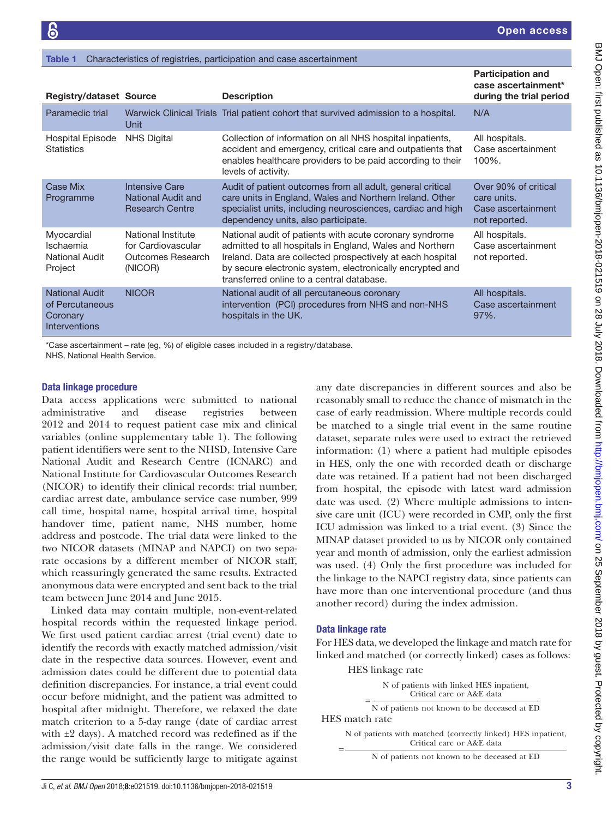<span id="page-2-0"></span>

| <b>Registry/dataset Source</b>                                               |                                                                          | <b>Description</b>                                                                                                                                                                                                                                                                          | <b>Participation and</b><br>case ascertainment*<br>during the trial period |
|------------------------------------------------------------------------------|--------------------------------------------------------------------------|---------------------------------------------------------------------------------------------------------------------------------------------------------------------------------------------------------------------------------------------------------------------------------------------|----------------------------------------------------------------------------|
| Paramedic trial                                                              | Unit                                                                     | Warwick Clinical Trials Trial patient cohort that survived admission to a hospital.                                                                                                                                                                                                         | N/A                                                                        |
| Hospital Episode<br><b>Statistics</b>                                        | <b>NHS Digital</b>                                                       | Collection of information on all NHS hospital inpatients,<br>accident and emergency, critical care and outpatients that<br>enables healthcare providers to be paid according to their<br>levels of activity.                                                                                | All hospitals.<br>Case ascertainment<br>100%.                              |
| Case Mix<br>Programme                                                        | <b>Intensive Care</b><br>National Audit and<br><b>Research Centre</b>    | Audit of patient outcomes from all adult, general critical<br>care units in England, Wales and Northern Ireland. Other<br>specialist units, including neurosciences, cardiac and high<br>dependency units, also participate.                                                                | Over 90% of critical<br>care units.<br>Case ascertainment<br>not reported. |
| Myocardial<br>Ischaemia<br><b>National Audit</b><br>Project                  | National Institute<br>for Cardiovascular<br>Outcomes Research<br>(NICOR) | National audit of patients with acute coronary syndrome<br>admitted to all hospitals in England, Wales and Northern<br>Ireland. Data are collected prospectively at each hospital<br>by secure electronic system, electronically encrypted and<br>transferred online to a central database. | All hospitals.<br>Case ascertainment<br>not reported.                      |
| <b>National Audit</b><br>of Percutaneous<br>Coronary<br><b>Interventions</b> | <b>NICOR</b>                                                             | National audit of all percutaneous coronary<br>intervention (PCI) procedures from NHS and non-NHS<br>hospitals in the UK.                                                                                                                                                                   | All hospitals.<br>Case ascertainment<br>97%.                               |

\*Case ascertainment – rate (eg, %) of eligible cases included in a registry/database.

Characteristics of registries, participation and case ascertainment

NHS, National Health Service.

#### Data linkage procedure

Data access applications were submitted to national administrative and disease registries between 2012 and 2014 to request patient case mix and clinical variables (online [supplementary table 1](https://dx.doi.org/10.1136/bmjopen-2018-021519)). The following patient identifiers were sent to the NHSD, Intensive Care National Audit and Research Centre (ICNARC) and National Institute for Cardiovascular Outcomes Research (NICOR) to identify their clinical records: trial number, cardiac arrest date, ambulance service case number, 999 call time, hospital name, hospital arrival time, hospital handover time, patient name, NHS number, home address and postcode. The trial data were linked to the two NICOR datasets (MINAP and NAPCI) on two separate occasions by a different member of NICOR staff, which reassuringly generated the same results. Extracted anonymous data were encrypted and sent back to the trial team between June 2014 and June 2015.

Linked data may contain multiple, non-event-related hospital records within the requested linkage period. We first used patient cardiac arrest (trial event) date to identify the records with exactly matched admission/visit date in the respective data sources. However, event and admission dates could be different due to potential data definition discrepancies. For instance, a trial event could occur before midnight, and the patient was admitted to hospital after midnight. Therefore, we relaxed the date match criterion to a 5-day range (date of cardiac arrest with ±2 days). A matched record was redefined as if the admission/visit date falls in the range. We considered the range would be sufficiently large to mitigate against

any date discrepancies in different sources and also be reasonably small to reduce the chance of mismatch in the case of early readmission. Where multiple records could be matched to a single trial event in the same routine dataset, separate rules were used to extract the retrieved information: (1) where a patient had multiple episodes in HES, only the one with recorded death or discharge date was retained. If a patient had not been discharged from hospital, the episode with latest ward admission date was used. (2) Where multiple admissions to intensive care unit (ICU) were recorded in CMP, only the first ICU admission was linked to a trial event. (3) Since the MINAP dataset provided to us by NICOR only contained year and month of admission, only the earliest admission was used. (4) Only the first procedure was included for the linkage to the NAPCI registry data, since patients can have more than one interventional procedure (and thus another record) during the index admission.

#### Data linkage rate

For HES data, we developed the linkage and match rate for linked and matched (or correctly linked) cases as follows:

HES linkage rate

|  | N of patients with linked HES inpatient,<br>Critical care or A&E data |  |  |
|--|-----------------------------------------------------------------------|--|--|
|  |                                                                       |  |  |

N of patients not known to be deceased at ED HES match rate

= N of patients with matched (correctly linked) HES inpatient, Critical care or A&E data

N of patients not known to be deceased at ED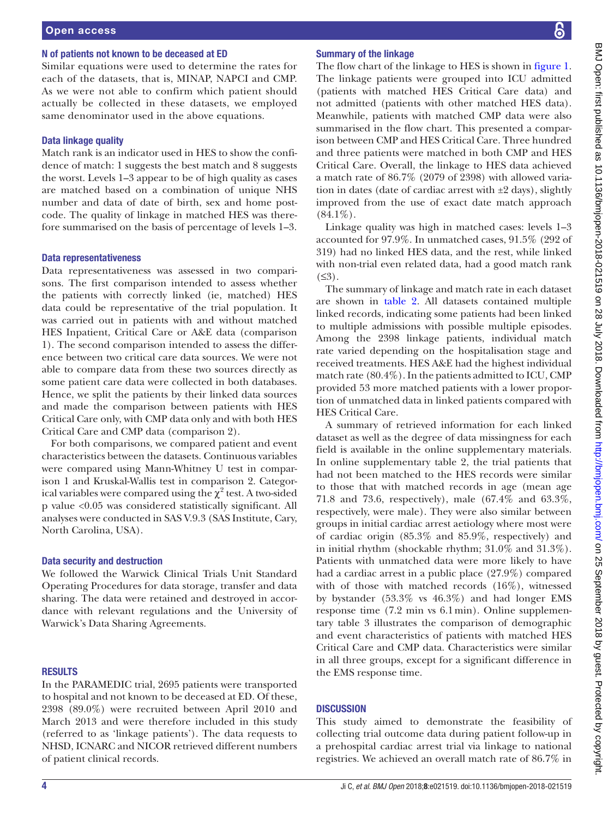#### N of patients not known to be deceased at ED

Similar equations were used to determine the rates for each of the datasets, that is, MINAP, NAPCI and CMP. As we were not able to confirm which patient should actually be collected in these datasets, we employed same denominator used in the above equations.

#### Data linkage quality

Match rank is an indicator used in HES to show the confidence of match: 1 suggests the best match and 8 suggests the worst. Levels 1–3 appear to be of high quality as cases are matched based on a combination of unique NHS number and data of date of birth, sex and home postcode. The quality of linkage in matched HES was therefore summarised on the basis of percentage of levels 1–3.

#### Data representativeness

Data representativeness was assessed in two comparisons. The first comparison intended to assess whether the patients with correctly linked (ie, matched) HES data could be representative of the trial population. It was carried out in patients with and without matched HES Inpatient, Critical Care or A&E data (comparison 1). The second comparison intended to assess the difference between two critical care data sources. We were not able to compare data from these two sources directly as some patient care data were collected in both databases. Hence, we split the patients by their linked data sources and made the comparison between patients with HES Critical Care only, with CMP data only and with both HES Critical Care and CMP data (comparison 2).

For both comparisons, we compared patient and event characteristics between the datasets. Continuous variables were compared using Mann-Whitney U test in comparison 1 and Kruskal-Wallis test in comparison 2. Categorical variables were compared using the  $\chi^2$  test. A two-sided p value <0.05 was considered statistically significant. All analyses were conducted in SAS V.9.3 (SAS Institute, Cary, North Carolina, USA).

#### Data security and destruction

We followed the Warwick Clinical Trials Unit Standard Operating Procedures for data storage, transfer and data sharing. The data were retained and destroyed in accordance with relevant regulations and the University of Warwick's Data Sharing Agreements.

#### **RESULTS**

In the PARAMEDIC trial, 2695 patients were transported to hospital and not known to be deceased at ED. Of these, 2398 (89.0%) were recruited between April 2010 and March 2013 and were therefore included in this study (referred to as 'linkage patients'). The data requests to NHSD, ICNARC and NICOR retrieved different numbers of patient clinical records.

#### Summary of the linkage

The flow chart of the linkage to HES is shown in [figure](#page-4-0) 1. The linkage patients were grouped into ICU admitted (patients with matched HES Critical Care data) and not admitted (patients with other matched HES data). Meanwhile, patients with matched CMP data were also summarised in the flow chart. This presented a comparison between CMP and HES Critical Care. Three hundred and three patients were matched in both CMP and HES Critical Care. Overall, the linkage to HES data achieved a match rate of 86.7% (2079 of 2398) with allowed variation in dates (date of cardiac arrest with  $\pm 2$  days), slightly improved from the use of exact date match approach  $(84.1\%)$ .

Linkage quality was high in matched cases: levels 1–3 accounted for 97.9%. In unmatched cases, 91.5% (292 of 319) had no linked HES data, and the rest, while linked with non-trial even related data, had a good match rank  $(≤3)$ .

The summary of linkage and match rate in each dataset are shown in [table](#page-4-1) 2. All datasets contained multiple linked records, indicating some patients had been linked to multiple admissions with possible multiple episodes. Among the 2398 linkage patients, individual match rate varied depending on the hospitalisation stage and received treatments. HES A&E had the highest individual match rate (80.4%). In the patients admitted to ICU, CMP provided 53 more matched patients with a lower proportion of unmatched data in linked patients compared with HES Critical Care.

A summary of retrieved information for each linked dataset as well as the degree of data missingness for each field is available in the online supplementary materials. In online [supplementary table 2](https://dx.doi.org/10.1136/bmjopen-2018-021519), the trial patients that had not been matched to the HES records were similar to those that with matched records in age (mean age 71.8 and 73.6, respectively), male (67.4% and 63.3%, respectively, were male). They were also similar between groups in initial cardiac arrest aetiology where most were of cardiac origin (85.3% and 85.9%, respectively) and in initial rhythm (shockable rhythm; 31.0% and 31.3%). Patients with unmatched data were more likely to have had a cardiac arrest in a public place (27.9%) compared with of those with matched records (16%), witnessed by bystander (53.3% vs 46.3%) and had longer EMS response time (7.2 min vs 6.1min). Online [supplemen](https://dx.doi.org/10.1136/bmjopen-2018-021519)[tary table 3](https://dx.doi.org/10.1136/bmjopen-2018-021519) illustrates the comparison of demographic and event characteristics of patients with matched HES Critical Care and CMP data. Characteristics were similar in all three groups, except for a significant difference in the EMS response time.

#### **DISCUSSION**

This study aimed to demonstrate the feasibility of collecting trial outcome data during patient follow-up in a prehospital cardiac arrest trial via linkage to national registries. We achieved an overall match rate of 86.7% in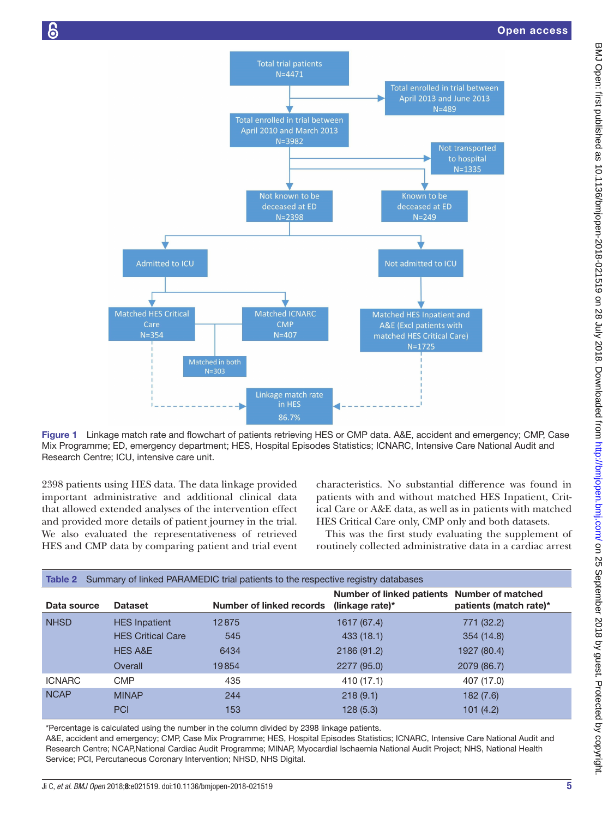



<span id="page-4-0"></span>Figure 1 Linkage match rate and flowchart of patients retrieving HES or CMP data. A&E, accident and emergency; CMP, Case Mix Programme; ED, emergency department; HES, Hospital Episodes Statistics; ICNARC, Intensive Care National Audit and Research Centre; ICU, intensive care unit.

2398 patients using HES data. The data linkage provided important administrative and additional clinical data that allowed extended analyses of the intervention effect and provided more details of patient journey in the trial. We also evaluated the representativeness of retrieved HES and CMP data by comparing patient and trial event

characteristics. No substantial difference was found in patients with and without matched HES Inpatient, Critical Care or A&E data, as well as in patients with matched HES Critical Care only, CMP only and both datasets.

This was the first study evaluating the supplement of routinely collected administrative data in a cardiac arrest

<span id="page-4-1"></span>

| Summary of linked PARAMEDIC trial patients to the respective registry databases<br>Table 2 |                          |                          |                                                                |                        |  |  |  |
|--------------------------------------------------------------------------------------------|--------------------------|--------------------------|----------------------------------------------------------------|------------------------|--|--|--|
| Data source                                                                                | <b>Dataset</b>           | Number of linked records | Number of linked patients Number of matched<br>(linkage rate)* | patients (match rate)* |  |  |  |
| <b>NHSD</b>                                                                                | <b>HES</b> Inpatient     | 12875                    | 1617 (67.4)                                                    | 771 (32.2)             |  |  |  |
|                                                                                            | <b>HES Critical Care</b> | 545                      | 433(18.1)                                                      | 354 (14.8)             |  |  |  |
|                                                                                            | <b>HES A&amp;E</b>       | 6434                     | 2186 (91.2)                                                    | 1927 (80.4)            |  |  |  |
|                                                                                            | Overall                  | 19854                    | 2277 (95.0)                                                    | 2079 (86.7)            |  |  |  |
| <b>ICNARC</b>                                                                              | <b>CMP</b>               | 435                      | 410 (17.1)                                                     | 407 (17.0)             |  |  |  |
| <b>NCAP</b>                                                                                | <b>MINAP</b>             | 244                      | 218(9.1)                                                       | 182(7.6)               |  |  |  |
|                                                                                            | <b>PCI</b>               | 153                      | 128(5.3)                                                       | 101(4.2)               |  |  |  |

\*Percentage is calculated using the number in the column divided by 2398 linkage patients.

A&E, accident and emergency; CMP, Case Mix Programme; HES, Hospital Episodes Statistics; ICNARC, Intensive Care National Audit and Research Centre; NCAP,National Cardiac Audit Programme; MINAP, Myocardial Ischaemia National Audit Project; NHS, National Health Service; PCI, Percutaneous Coronary Intervention; NHSD, NHS Digital.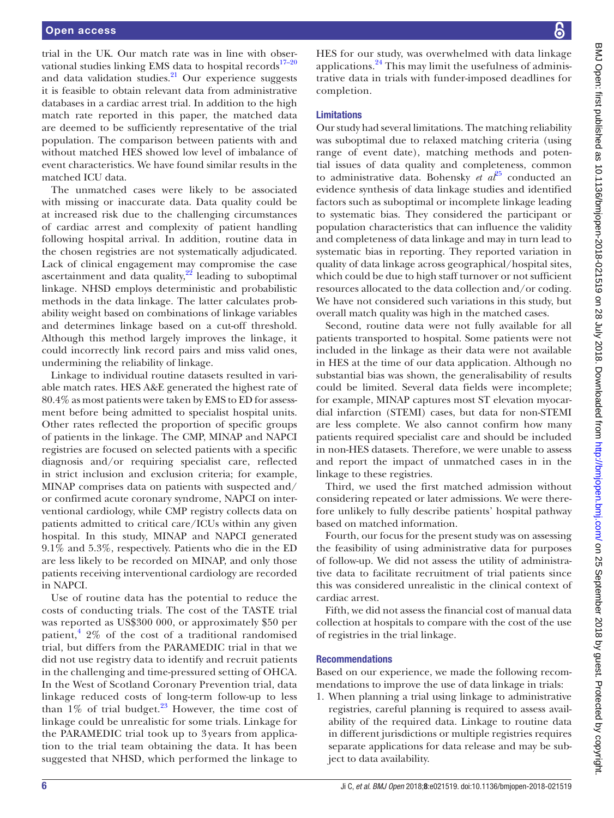trial in the UK. Our match rate was in line with observational studies linking EMS data to hospital records $17-20$ and data validation studies. $^{21}$  $^{21}$  $^{21}$  Our experience suggests it is feasible to obtain relevant data from administrative databases in a cardiac arrest trial. In addition to the high match rate reported in this paper, the matched data are deemed to be sufficiently representative of the trial population. The comparison between patients with and without matched HES showed low level of imbalance of event characteristics. We have found similar results in the matched ICU data.

The unmatched cases were likely to be associated with missing or inaccurate data. Data quality could be at increased risk due to the challenging circumstances of cardiac arrest and complexity of patient handling following hospital arrival. In addition, routine data in the chosen registries are not systematically adjudicated. Lack of clinical engagement may compromise the case ascertainment and data quality, $^{22}$  leading to suboptimal linkage. NHSD employs deterministic and probabilistic methods in the data linkage. The latter calculates probability weight based on combinations of linkage variables and determines linkage based on a cut-off threshold. Although this method largely improves the linkage, it could incorrectly link record pairs and miss valid ones, undermining the reliability of linkage.

Linkage to individual routine datasets resulted in variable match rates. HES A&E generated the highest rate of 80.4% as most patients were taken by EMS to ED for assessment before being admitted to specialist hospital units. Other rates reflected the proportion of specific groups of patients in the linkage. The CMP, MINAP and NAPCI registries are focused on selected patients with a specific diagnosis and/or requiring specialist care, reflected in strict inclusion and exclusion criteria; for example, MINAP comprises data on patients with suspected and/ or confirmed acute coronary syndrome, NAPCI on interventional cardiology, while CMP registry collects data on patients admitted to critical care/ICUs within any given hospital. In this study, MINAP and NAPCI generated 9.1% and 5.3%, respectively. Patients who die in the ED are less likely to be recorded on MINAP, and only those patients receiving interventional cardiology are recorded in NAPCI.

Use of routine data has the potential to reduce the costs of conducting trials. The cost of the TASTE trial was reported as US\$300 000, or approximately \$50 per patient,  $\frac{4}{3}$  $\frac{4}{3}$  $\frac{4}{3}$  2% of the cost of a traditional randomised trial, but differs from the PARAMEDIC trial in that we did not use registry data to identify and recruit patients in the challenging and time-pressured setting of OHCA. In the West of Scotland Coronary Prevention trial, data linkage reduced costs of long-term follow-up to less than  $1\%$  of trial budget.<sup>23</sup> However, the time cost of linkage could be unrealistic for some trials. Linkage for the PARAMEDIC trial took up to 3 years from application to the trial team obtaining the data. It has been suggested that NHSD, which performed the linkage to

HES for our study, was overwhelmed with data linkage applications.[24](#page-7-3) This may limit the usefulness of administrative data in trials with funder-imposed deadlines for completion. Limitations Our study had several limitations. The matching reliability was suboptimal due to relaxed matching criteria (using range of event date), matching methods and potential issues of data quality and completeness, common to administrative data. Bohensky *et al*<sup>[25](#page-7-4)</sup> conducted an evidence synthesis of data linkage studies and identified factors such as suboptimal or incomplete linkage leading to systematic bias. They considered the participant or population characteristics that can influence the validity and completeness of data linkage and may in turn lead to systematic bias in reporting. They reported variation in quality of data linkage across geographical/hospital sites, which could be due to high staff turnover or not sufficient resources allocated to the data collection and/or coding. We have not considered such variations in this study, but

overall match quality was high in the matched cases. Second, routine data were not fully available for all patients transported to hospital. Some patients were not included in the linkage as their data were not available in HES at the time of our data application. Although no substantial bias was shown, the generalisability of results could be limited. Several data fields were incomplete; for example, MINAP captures most ST elevation myocardial infarction (STEMI) cases, but data for non-STEMI are less complete. We also cannot confirm how many patients required specialist care and should be included in non-HES datasets. Therefore, we were unable to assess and report the impact of unmatched cases in in the linkage to these registries.

Third, we used the first matched admission without considering repeated or later admissions. We were therefore unlikely to fully describe patients' hospital pathway based on matched information.

Fourth, our focus for the present study was on assessing the feasibility of using administrative data for purposes of follow-up. We did not assess the utility of administrative data to facilitate recruitment of trial patients since this was considered unrealistic in the clinical context of cardiac arrest.

Fifth, we did not assess the financial cost of manual data collection at hospitals to compare with the cost of the use of registries in the trial linkage.

#### Recommendations

Based on our experience, we made the following recommendations to improve the use of data linkage in trials:

1. When planning a trial using linkage to administrative registries, careful planning is required to assess availability of the required data. Linkage to routine data in different jurisdictions or multiple registries requires separate applications for data release and may be subject to data availability.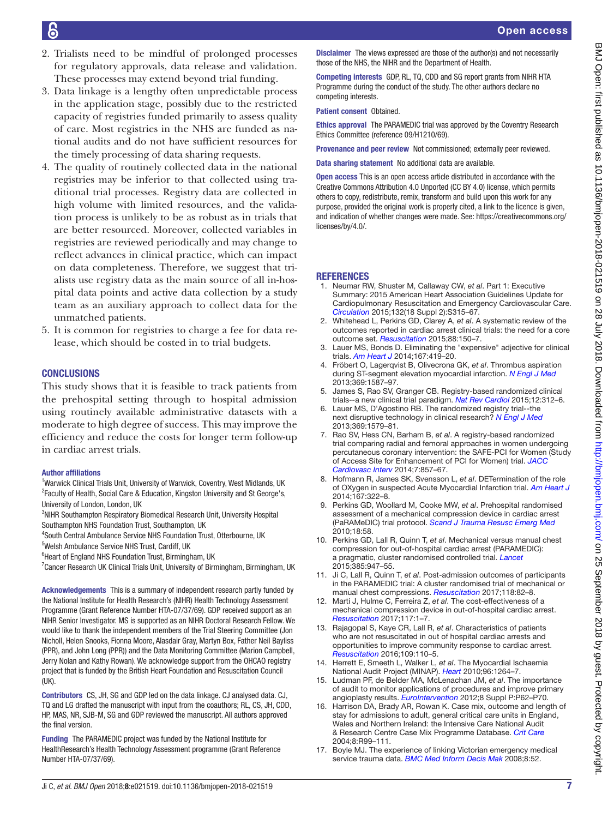- 2. Trialists need to be mindful of prolonged processes for regulatory approvals, data release and validation. These processes may extend beyond trial funding.
- 3. Data linkage is a lengthy often unpredictable process in the application stage, possibly due to the restricted capacity of registries funded primarily to assess quality of care. Most registries in the NHS are funded as national audits and do not have sufficient resources for the timely processing of data sharing requests.
- 4. The quality of routinely collected data in the national registries may be inferior to that collected using traditional trial processes. Registry data are collected in high volume with limited resources, and the validation process is unlikely to be as robust as in trials that are better resourced. Moreover, collected variables in registries are reviewed periodically and may change to reflect advances in clinical practice, which can impact on data completeness. Therefore, we suggest that trialists use registry data as the main source of all in-hospital data points and active data collection by a study team as an auxiliary approach to collect data for the unmatched patients.
- 5. It is common for registries to charge a fee for data release, which should be costed in to trial budgets.

## **CONCLUSIONS**

This study shows that it is feasible to track patients from the prehospital setting through to hospital admission using routinely available administrative datasets with a moderate to high degree of success. This may improve the efficiency and reduce the costs for longer term follow-up in cardiac arrest trials.

#### Author affiliations

<sup>1</sup>Warwick Clinical Trials Unit, University of Warwick, Coventry, West Midlands, UK <sup>2</sup> Faculty of Health, Social Care & Education, Kingston University and St George's, University of London, London, UK

<sup>3</sup>NIHR Southampton Respiratory Biomedical Research Unit, University Hospital Southampton NHS Foundation Trust, Southampton, UK

4 South Central Ambulance Service NHS Foundation Trust, Otterbourne, UK

5 Welsh Ambulance Service NHS Trust, Cardiff, UK

<sup>6</sup> Heart of England NHS Foundation Trust, Birmingham, UK

<sup>7</sup> Cancer Research UK Clinical Trials Unit, University of Birmingham, Birmingham, UK

Acknowledgements This is a summary of independent research partly funded by the National Institute for Health Research's (NIHR) Health Technology Assessment Programme (Grant Reference Number HTA-07/37/69). GDP received support as an NIHR Senior Investigator. MS is supported as an NIHR Doctoral Research Fellow. We would like to thank the independent members of the Trial Steering Committee (Jon Nicholl, Helen Snooks, Fionna Moore, Alasdair Gray, Martyn Box, Father Neil Bayliss (PPR), and John Long (PPR)) and the Data Monitoring Committee (Marion Campbell, Jerry Nolan and Kathy Rowan). We acknowledge support from the OHCAO registry project that is funded by the British Heart Foundation and Resuscitation Council (UK).

Contributors CS, JH, SG and GDP led on the data linkage. CJ analysed data. CJ, TQ and LG drafted the manuscript with input from the coauthors; RL, CS, JH, CDD, HP, MAS, NR, SJB-M, SG and GDP reviewed the manuscript. All authors approved the final version.

Funding The PARAMEDIC project was funded by the National Institute for HealthResearch's Health Technology Assessment programme (Grant Reference Number HTA-07/37/69).

Disclaimer The views expressed are those of the author(s) and not necessarily those of the NHS, the NIHR and the Department of Health.

Competing interests GDP, RL, TQ, CDD and SG report grants from NIHR HTA Programme during the conduct of the study. The other authors declare no competing interests.

Patient consent Obtained.

Ethics approval The PARAMEDIC trial was approved by the Coventry Research Ethics Committee (reference 09/H1210/69).

Provenance and peer review Not commissioned; externally peer reviewed.

Data sharing statement No additional data are available.

Open access This is an open access article distributed in accordance with the Creative Commons Attribution 4.0 Unported (CC BY 4.0) license, which permits others to copy, redistribute, remix, transform and build upon this work for any purpose, provided the original work is properly cited, a link to the licence is given, and indication of whether changes were made. See: [https://creativecommons.org/](https://creativecommons.org/licenses/by/4.0/) [licenses/by/4.0/](https://creativecommons.org/licenses/by/4.0/).

## **REFERENCES**

- <span id="page-6-0"></span>1. Neumar RW, Shuster M, Callaway CW, *et al*. Part 1: Executive Summary: 2015 American Heart Association Guidelines Update for Cardiopulmonary Resuscitation and Emergency Cardiovascular Care. *[Circulation](http://dx.doi.org/10.1161/CIR.0000000000000252)* 2015;132(18 Suppl 2):S315–67.
- <span id="page-6-1"></span>2. Whitehead L, Perkins GD, Clarey A, *et al*. A systematic review of the outcomes reported in cardiac arrest clinical trials: the need for a core outcome set. *[Resuscitation](http://dx.doi.org/10.1016/j.resuscitation.2014.11.013)* 2015;88:150–7.
- <span id="page-6-2"></span>3. Lauer MS, Bonds D. Eliminating the "expensive" adjective for clinical trials. *[Am Heart J](http://dx.doi.org/10.1016/j.ahj.2013.12.003)* 2014;167:419–20.
- <span id="page-6-3"></span>4. Fröbert O, Lagerqvist B, Olivecrona GK, *et al*. Thrombus aspiration during ST-segment elevation myocardial infarction. *[N Engl J Med](http://dx.doi.org/10.1056/NEJMoa1308789)* 2013;369:1587–97.
- <span id="page-6-4"></span>5. James S, Rao SV, Granger CB. Registry-based randomized clinical trials--a new clinical trial paradigm. *[Nat Rev Cardiol](http://dx.doi.org/10.1038/nrcardio.2015.33)* 2015;12:312–6.
- 6. Lauer MS, D'Agostino RB. The randomized registry trial--the next disruptive technology in clinical research? *[N Engl J Med](http://dx.doi.org/10.1056/NEJMp1310102)* 2013;369:1579–81.
- <span id="page-6-5"></span>7. Rao SV, Hess CN, Barham B, *et al*. A registry-based randomized trial comparing radial and femoral approaches in women undergoing percutaneous coronary intervention: the SAFE-PCI for Women (Study of Access Site for Enhancement of PCI for Women) trial. *[JACC](http://dx.doi.org/10.1016/j.jcin.2014.04.007)  [Cardiovasc Interv](http://dx.doi.org/10.1016/j.jcin.2014.04.007)* 2014;7:857–67.
- <span id="page-6-6"></span>8. Hofmann R, James SK, Svensson L, *et al*. DETermination of the role of OXygen in suspected Acute Myocardial Infarction trial. *[Am Heart J](http://dx.doi.org/10.1016/j.ahj.2013.09.022)* 2014;167:322–8.
- <span id="page-6-7"></span>9. Perkins GD, Woollard M, Cooke MW, *et al*. Prehospital randomised assessment of a mechanical compression device in cardiac arrest (PaRAMeDIC) trial protocol. *[Scand J Trauma Resusc Emerg Med](http://dx.doi.org/10.1186/1757-7241-18-58)* 2010;18:58.
- <span id="page-6-8"></span>10. Perkins GD, Lall R, Quinn T, *et al*. Mechanical versus manual chest compression for out-of-hospital cardiac arrest (PARAMEDIC): a pragmatic, cluster randomised controlled trial. *[Lancet](http://dx.doi.org/10.1016/S0140-6736(14)61886-9)* 2015;385:947–55.
- <span id="page-6-9"></span>11. Ji C, Lall R, Quinn T, *et al*. Post-admission outcomes of participants in the PARAMEDIC trial: A cluster randomised trial of mechanical or manual chest compressions. *[Resuscitation](http://dx.doi.org/10.1016/j.resuscitation.2017.06.026)* 2017;118:82–8.
- <span id="page-6-10"></span>12. Marti J, Hulme C, Ferreira Z, *et al*. The cost-effectiveness of a mechanical compression device in out-of-hospital cardiac arrest. *[Resuscitation](http://dx.doi.org/10.1016/j.resuscitation.2017.04.036)* 2017;117:1–7.
- <span id="page-6-11"></span>13. Rajagopal S, Kaye CR, Lall R, *et al*. Characteristics of patients who are not resuscitated in out of hospital cardiac arrests and opportunities to improve community response to cardiac arrest. *[Resuscitation](http://dx.doi.org/10.1016/j.resuscitation.2016.09.014)* 2016;109:110–5.
- <span id="page-6-12"></span>14. Herrett E, Smeeth L, Walker L, *et al*. The Myocardial Ischaemia National Audit Project (MINAP). *[Heart](http://dx.doi.org/10.1136/hrt.2009.192328)* 2010;96:1264–7.
- <span id="page-6-13"></span>15. Ludman PF, de Belder MA, McLenachan JM, *et al*. The importance of audit to monitor applications of procedures and improve primary angioplasty results. *[EuroIntervention](http://dx.doi.org/10.4244/EIJV8SPA11)* 2012;8 Suppl P:P62–P70.
- <span id="page-6-14"></span>16. Harrison DA, Brady AR, Rowan K. Case mix, outcome and length of stay for admissions to adult, general critical care units in England, Wales and Northern Ireland: the Intensive Care National Audit & Research Centre Case Mix Programme Database. *[Crit Care](http://dx.doi.org/10.1186/cc2834)* 2004;8:R99–111.
- <span id="page-6-15"></span>17. Boyle MJ. The experience of linking Victorian emergency medical service trauma data. *[BMC Med Inform Decis Mak](http://dx.doi.org/10.1186/1472-6947-8-52)* 2008;8:52.